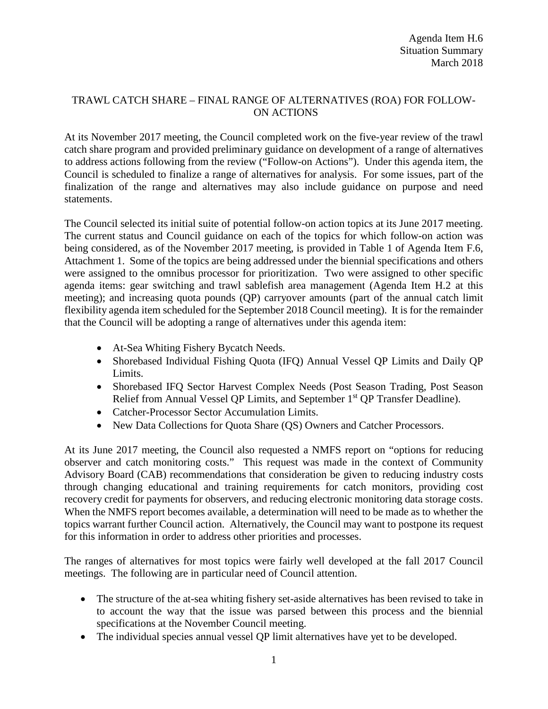## TRAWL CATCH SHARE – FINAL RANGE OF ALTERNATIVES (ROA) FOR FOLLOW-ON ACTIONS

At its November 2017 meeting, the Council completed work on the five-year review of the trawl catch share program and provided preliminary guidance on development of a range of alternatives to address actions following from the review ("Follow-on Actions"). Under this agenda item, the Council is scheduled to finalize a range of alternatives for analysis. For some issues, part of the finalization of the range and alternatives may also include guidance on purpose and need statements.

The Council selected its initial suite of potential follow-on action topics at its June 2017 meeting. The current status and Council guidance on each of the topics for which follow-on action was being considered, as of the November 2017 meeting, is provided in Table 1 of Agenda Item F.6, Attachment 1. Some of the topics are being addressed under the biennial specifications and others were assigned to the omnibus processor for prioritization. Two were assigned to other specific agenda items: gear switching and trawl sablefish area management (Agenda Item H.2 at this meeting); and increasing quota pounds (QP) carryover amounts (part of the annual catch limit flexibility agenda item scheduled for the September 2018 Council meeting). It is for the remainder that the Council will be adopting a range of alternatives under this agenda item:

- At-Sea Whiting Fishery Bycatch Needs.
- Shorebased Individual Fishing Quota (IFQ) Annual Vessel QP Limits and Daily QP Limits.
- Shorebased IFQ Sector Harvest Complex Needs (Post Season Trading, Post Season Relief from Annual Vessel QP Limits, and September 1<sup>st</sup> QP Transfer Deadline).
- Catcher-Processor Sector Accumulation Limits.
- New Data Collections for Quota Share (QS) Owners and Catcher Processors.

At its June 2017 meeting, the Council also requested a NMFS report on "options for reducing observer and catch monitoring costs." This request was made in the context of Community Advisory Board (CAB) recommendations that consideration be given to reducing industry costs through changing educational and training requirements for catch monitors, providing cost recovery credit for payments for observers, and reducing electronic monitoring data storage costs. When the NMFS report becomes available, a determination will need to be made as to whether the topics warrant further Council action. Alternatively, the Council may want to postpone its request for this information in order to address other priorities and processes.

The ranges of alternatives for most topics were fairly well developed at the fall 2017 Council meetings. The following are in particular need of Council attention.

- The structure of the at-sea whiting fishery set-aside alternatives has been revised to take in to account the way that the issue was parsed between this process and the biennial specifications at the November Council meeting.
- The individual species annual vessel QP limit alternatives have yet to be developed.